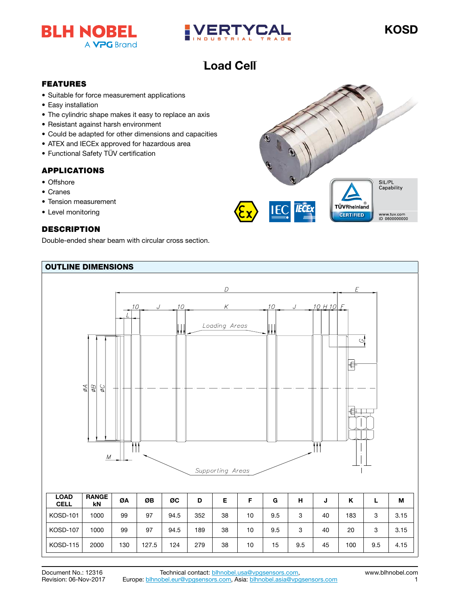



## Load Cell Load Cell

## FEATURES

- Suitable for force measurement applications
- Easy installation
- The cylindric shape makes it easy to replace an axis
- Resistant against harsh environment
- Could be adapted for other dimensions and capacities
- ATEX and IECEx approved for hazardous area
- Functional Safety TÜV certification

## APPLICATIONS

- Offshore
- Cranes
- Tension measurement
- Level monitoring

## **DESCRIPTION**

Double-ended shear beam with circular cross section.